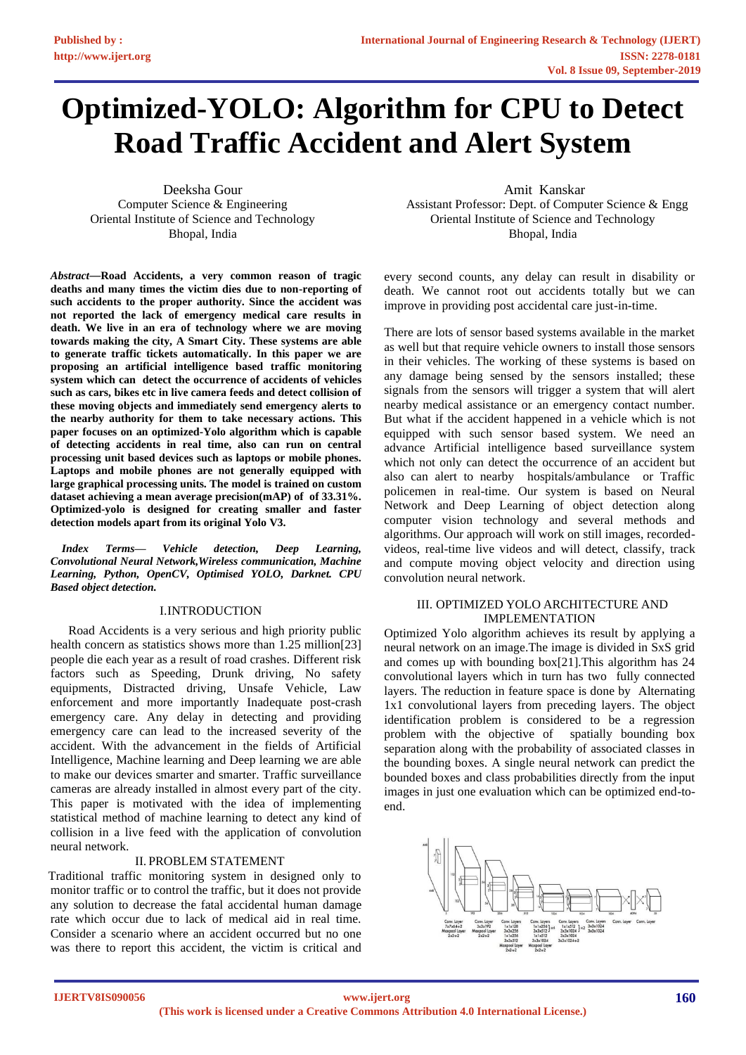# **Optimized-YOLO: Algorithm for CPU to Detect Road Traffic Accident and Alert System**

Deeksha Gour Computer Science & Engineering Oriental Institute of Science and Technology Bhopal, India

*Abstract*—**Road Accidents, a very common reason of tragic deaths and many times the victim dies due to non-reporting of such accidents to the proper authority. Since the accident was not reported the lack of emergency medical care results in death. We live in an era of technology where we are moving towards making the city, A Smart City. These systems are able to generate traffic tickets automatically. In this paper we are proposing an artificial intelligence based traffic monitoring system which can detect the occurrence of accidents of vehicles such as cars, bikes etc in live camera feeds and detect collision of these moving objects and immediately send emergency alerts to the nearby authority for them to take necessary actions. This paper focuses on an optimized-Yolo algorithm which is capable of detecting accidents in real time, also can run on central processing unit based devices such as laptops or mobile phones. Laptops and mobile phones are not generally equipped with large graphical processing units. The model is trained on custom dataset achieving a mean average precision(mAP) of of 33.31%. Optimized-yolo is designed for creating smaller and faster detection models apart from its original Yolo V3.**

*Index Terms***—** *Vehicle detection, Deep Learning, Convolutional Neural Network,Wireless communication, Machine Learning, Python, OpenCV, Optimised YOLO, Darknet. CPU Based object detection.*

## I.INTRODUCTION

Road Accidents is a very serious and high priority public health concern as statistics shows more than 1.25 million[23] people die each year as a result of road crashes. Different risk factors such as Speeding, Drunk driving, No safety equipments, Distracted driving, Unsafe Vehicle, Law enforcement and more importantly Inadequate post-crash emergency care. Any delay in detecting and providing emergency care can lead to the increased severity of the accident. With the advancement in the fields of Artificial Intelligence, Machine learning and Deep learning we are able to make our devices smarter and smarter. Traffic surveillance cameras are already installed in almost every part of the city. This paper is motivated with the idea of implementing statistical method of machine learning to detect any kind of collision in a live feed with the application of convolution neural network.

## II. PROBLEM STATEMENT

Traditional traffic monitoring system in designed only to monitor traffic or to control the traffic, but it does not provide any solution to decrease the fatal accidental human damage rate which occur due to lack of medical aid in real time. Consider a scenario where an accident occurred but no one was there to report this accident, the victim is critical and

Amit Kanskar Assistant Professor: Dept. of Computer Science & Engg Oriental Institute of Science and Technology Bhopal, India

every second counts, any delay can result in disability or death. We cannot root out accidents totally but we can improve in providing post accidental care just-in-time.

There are lots of sensor based systems available in the market as well but that require vehicle owners to install those sensors in their vehicles. The working of these systems is based on any damage being sensed by the sensors installed; these signals from the sensors will trigger a system that will alert nearby medical assistance or an emergency contact number. But what if the accident happened in a vehicle which is not equipped with such sensor based system. We need an advance Artificial intelligence based surveillance system which not only can detect the occurrence of an accident but also can alert to nearby hospitals/ambulance or Traffic policemen in real-time. Our system is based on Neural Network and Deep Learning of object detection along computer vision technology and several methods and algorithms. Our approach will work on still images, recordedvideos, real-time live videos and will detect, classify, track and compute moving object velocity and direction using convolution neural network.

# III. OPTIMIZED YOLO ARCHITECTURE AND IMPLEMENTATION

Optimized Yolo algorithm achieves its result by applying a neural network on an image.The image is divided in SxS grid and comes up with bounding box[21].This algorithm has 24 convolutional layers which in turn has two fully connected layers. The reduction in feature space is done by Alternating 1x1 convolutional layers from preceding layers. The object identification problem is considered to be a regression problem with the objective of spatially bounding box separation along with the probability of associated classes in the bounding boxes. A single neural network can predict the bounded boxes and class probabilities directly from the input images in just one evaluation which can be optimized end-toend.

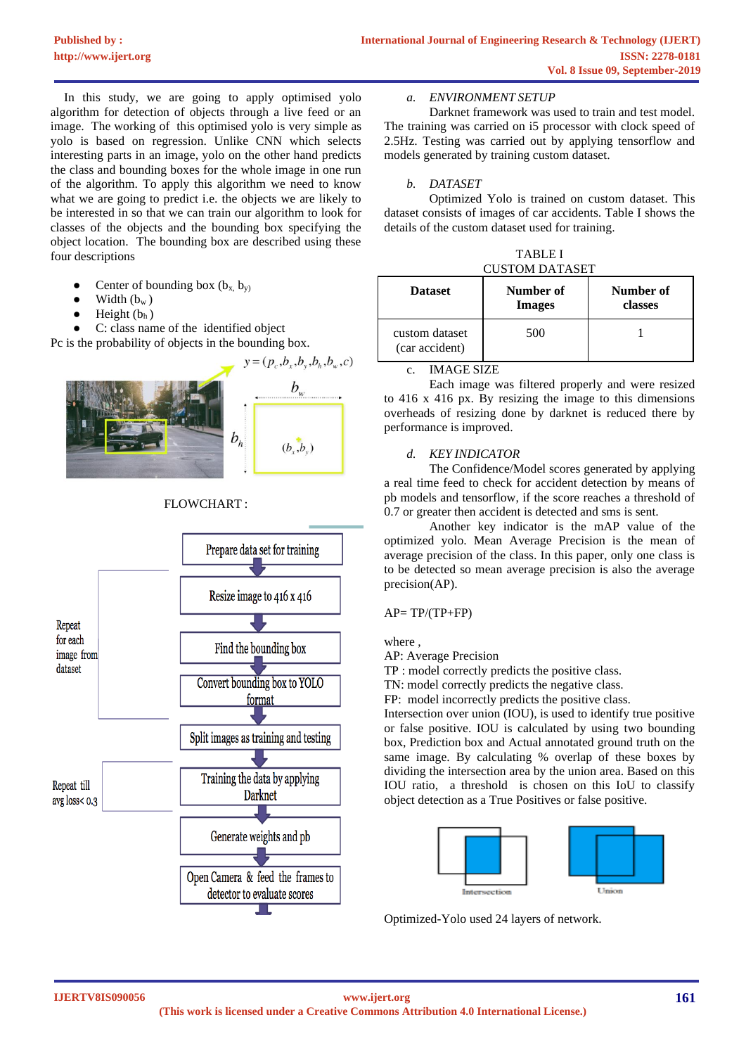In this study, we are going to apply optimised yolo algorithm for detection of objects through a live feed or an image. The working of this optimised yolo is very simple as yolo is based on regression. Unlike CNN which selects interesting parts in an image, yolo on the other hand predicts the class and bounding boxes for the whole image in one run of the algorithm. To apply this algorithm we need to know what we are going to predict i.e. the objects we are likely to be interested in so that we can train our algorithm to look for classes of the objects and the bounding box specifying the object location. The bounding box are described using these four descriptions

- Center of bounding box  $(b_x, b_y)$
- $\bullet$  Width  $(b_w)$
- Height  $(b<sub>h</sub>)$

C: class name of the identified object

Pc is the probability of objects in the bounding box.



# FLOWCHART :



# *a. ENVIRONMENT SETUP*

Darknet framework was used to train and test model. The training was carried on i5 processor with clock speed of 2.5Hz. Testing was carried out by applying tensorflow and models generated by training custom dataset.

# *b. DATASET*

Optimized Yolo is trained on custom dataset. This dataset consists of images of car accidents. Table I shows the details of the custom dataset used for training.

TABLE I CUSTOM DATASET

| <b>Dataset</b>                   | Number of<br><b>Images</b> | Number of<br>classes |
|----------------------------------|----------------------------|----------------------|
| custom dataset<br>(car accident) | 500                        |                      |

c. IMAGE SIZE

Each image was filtered properly and were resized to 416 x 416 px. By resizing the image to this dimensions overheads of resizing done by darknet is reduced there by performance is improved.

# *d. KEY INDICATOR*

The Confidence/Model scores generated by applying a real time feed to check for accident detection by means of pb models and tensorflow, if the score reaches a threshold of 0.7 or greater then accident is detected and sms is sent.

Another key indicator is the mAP value of the optimized yolo. Mean Average Precision is the mean of average precision of the class. In this paper, only one class is to be detected so mean average precision is also the average precision(AP).

## $AP = TP/(TP + FP)$

where

AP: Average Precision

TP : model correctly predicts the positive class.

TN: model correctly predicts the negative class.

FP: model incorrectly predicts the positive class.

Intersection over union (IOU), is used to identify true positive or false positive. IOU is calculated by using two bounding box, Prediction box and Actual annotated ground truth on the same image. By calculating % overlap of these boxes by dividing the intersection area by the union area. Based on this IOU ratio, a threshold is chosen on this IoU to classify object detection as a True Positives or false positive.



Optimized-Yolo used 24 layers of network.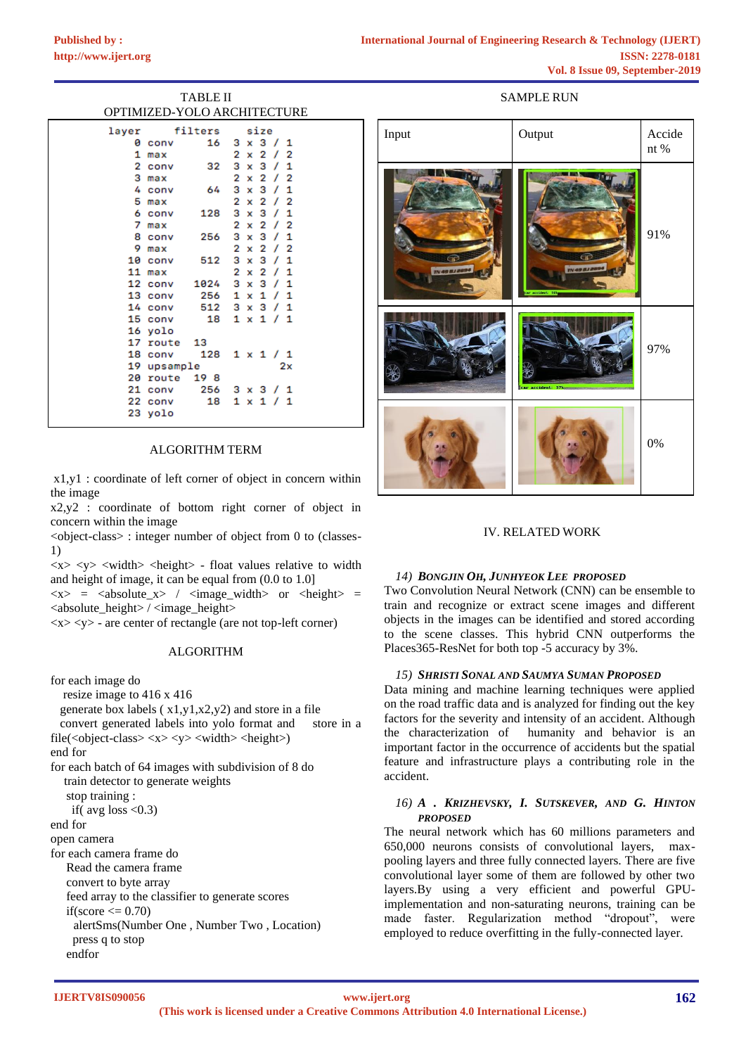| <b>TABLE II</b> |               |      |                             |  |
|-----------------|---------------|------|-----------------------------|--|
|                 |               |      | OPTIMIZED-YOLO ARCHITECTURE |  |
|                 | layer filters |      | size                        |  |
|                 | 0 conv        | 16   | $3 \times 3 / 1$            |  |
|                 | 1 max         |      | $2 \times 2 / 2$            |  |
|                 | 2 conv        | 32   | $3 \times 3 / 1$            |  |
|                 | 3 max         |      | $2 \times 2 / 2$            |  |
|                 | 4 conv        | - 64 | $3 \times 3 / 1$            |  |
|                 | 5 max         |      | 2 x 2 / 2                   |  |
|                 | 6 conv        | 128  | $3 \times 3 / 1$            |  |
| 7               | max           |      | $x \t2 \t/2$<br>2           |  |
|                 | 8 conv 256    |      | $3 \times 3 / 1$            |  |
|                 | 9 max         |      | 2 x 2 / 2                   |  |
|                 | 10 conv 512   |      | $3 \times 3 / 1$            |  |
|                 | 11 max        |      | $2 \times 2 / 1$            |  |
|                 | 12 conv 1024  |      | $3 \times 3 / 1$            |  |
|                 |               |      | 13 conv 256 1 x 1 / 1       |  |
|                 | 14 conv       |      | 512 3 x 3 / 1               |  |
|                 | 15 conv       | 18   | $1 \times 1 / 1$            |  |
|                 | 16 yolo       |      |                             |  |
|                 | 17 route 13   |      |                             |  |
|                 |               |      | 18 conv 128 1 x 1 / 1       |  |
|                 | 19 upsample   |      | 2x                          |  |
|                 | 20 route 19 8 |      |                             |  |
|                 | 21 conv 256   |      | 3 x 3 / 1                   |  |
|                 | 22 conv       | 18   | 1 x 1 / 1                   |  |

#### ALGORITHM TERM

23 yolo

x1,y1 : coordinate of left corner of object in concern within the image

x2,y2 : coordinate of bottom right corner of object in concern within the image

 $\leq$ object-class $>$ : integer number of object from 0 to (classes-1)

 $\langle x \rangle \langle y \rangle$   $\langle \langle \text{width} \rangle \langle \text{height} \rangle$  - float values relative to width and height of image, it can be equal from (0.0 to 1.0]

 $\langle x \rangle$  =  $\langle z \rangle$  =  $\langle z \rangle$  /  $\langle z \rangle$  =  $\langle \langle z \rangle$  =  $\langle \langle z \rangle$  $\langle$  <absolute\_height $\rangle$  /  $\langle$  image\_height $\rangle$ 

 $\langle x \rangle \langle y \rangle$  - are center of rectangle (are not top-left corner)

#### ALGORITHM

for each image do

resize image to 416 x 416

generate box labels  $(x1,y1,x2,y2)$  and store in a file

 convert generated labels into yolo format and store in a file(<object-class>  $\langle x \rangle \langle y \rangle \langle \langle \text{width} \rangle \langle \text{height} \rangle$ )

end for

for each batch of 64 images with subdivision of 8 do train detector to generate weights stop training :

if( $avg$  loss <0.3)

end for

open camera

for each camera frame do

Read the camera frame

convert to byte array

feed array to the classifier to generate scores

if(score  $\leq$  0.70)

 alertSms(Number One , Number Two , Location) press q to stop

endfor

# SAMPLE RUN

| Input         | Output                          | Accide<br>nt $\%$ |
|---------------|---------------------------------|-------------------|
| TN 49 8J 2094 | TN 49 8J 20<br>ar accident: 91% | 91%               |
|               | car accident: 97%               | 97%               |
|               |                                 | $0\%$             |

# IV. RELATED WORK

#### *14) BONGJIN OH, JUNHYEOK LEE PROPOSED*

Two Convolution Neural Network (CNN) can be ensemble to train and recognize or extract scene images and different objects in the images can be identified and stored according to the scene classes. This hybrid CNN outperforms the Places365-ResNet for both top -5 accuracy by 3%.

#### *15) SHRISTI SONAL AND SAUMYA SUMAN PROPOSED*

Data mining and machine learning techniques were applied on the road traffic data and is analyzed for finding out the key factors for the severity and intensity of an accident. Although the characterization of humanity and behavior is an important factor in the occurrence of accidents but the spatial feature and infrastructure plays a contributing role in the accident.

# *16) A . KRIZHEVSKY, I. SUTSKEVER, AND G. HINTON PROPOSED*

The neural network which has 60 millions parameters and 650,000 neurons consists of convolutional layers, maxpooling layers and three fully connected layers. There are five convolutional layer some of them are followed by other two layers.By using a very efficient and powerful GPUimplementation and non-saturating neurons, training can be made faster. Regularization method "dropout", were employed to reduce overfitting in the fully-connected layer.

**IJERTV8IS090056**